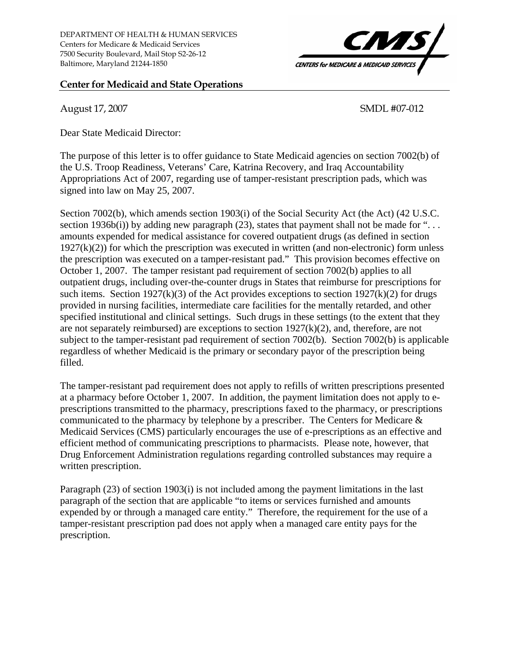## **Center for Medicaid and State Operations**

August 17, 2007 SMDL #07-012

77

**CENTERS for MEDICARE & MEDICAID SERVICE** 

Dear State Medicaid Director:

The purpose of this letter is to offer guidance to State Medicaid agencies on section 7002(b) of the U.S. Troop Readiness, Veterans' Care, Katrina Recovery, and Iraq Accountability Appropriations Act of 2007, regarding use of tamper-resistant prescription pads, which was signed into law on May 25, 2007.

Section 7002(b), which amends section 1903(i) of the Social Security Act (the Act) (42 U.S.C. section 1936b(i)) by adding new paragraph (23), states that payment shall not be made for "... amounts expended for medical assistance for covered outpatient drugs (as defined in section  $1927(k)(2)$ ) for which the prescription was executed in written (and non-electronic) form unless the prescription was executed on a tamper-resistant pad." This provision becomes effective on October 1, 2007. The tamper resistant pad requirement of section 7002(b) applies to all outpatient drugs, including over-the-counter drugs in States that reimburse for prescriptions for such items. Section 1927(k)(3) of the Act provides exceptions to section  $1927(k)(2)$  for drugs provided in nursing facilities, intermediate care facilities for the mentally retarded, and other specified institutional and clinical settings. Such drugs in these settings (to the extent that they are not separately reimbursed) are exceptions to section 1927(k)(2), and, therefore, are not subject to the tamper-resistant pad requirement of section 7002(b). Section 7002(b) is applicable regardless of whether Medicaid is the primary or secondary payor of the prescription being filled.

The tamper-resistant pad requirement does not apply to refills of written prescriptions presented at a pharmacy before October 1, 2007. In addition, the payment limitation does not apply to eprescriptions transmitted to the pharmacy, prescriptions faxed to the pharmacy, or prescriptions communicated to the pharmacy by telephone by a prescriber. The Centers for Medicare & Medicaid Services (CMS) particularly encourages the use of e-prescriptions as an effective and efficient method of communicating prescriptions to pharmacists. Please note, however, that Drug Enforcement Administration regulations regarding controlled substances may require a written prescription.

Paragraph (23) of section 1903(i) is not included among the payment limitations in the last paragraph of the section that are applicable "to items or services furnished and amounts expended by or through a managed care entity." Therefore, the requirement for the use of a tamper-resistant prescription pad does not apply when a managed care entity pays for the prescription.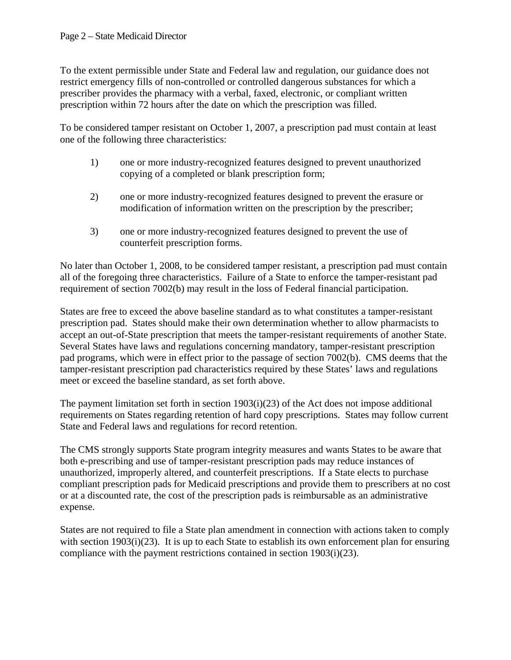To the extent permissible under State and Federal law and regulation, our guidance does not restrict emergency fills of non-controlled or controlled dangerous substances for which a prescriber provides the pharmacy with a verbal, faxed, electronic, or compliant written prescription within 72 hours after the date on which the prescription was filled.

To be considered tamper resistant on October 1, 2007, a prescription pad must contain at least one of the following three characteristics:

- 1) one or more industry-recognized features designed to prevent unauthorized copying of a completed or blank prescription form;
- 2) one or more industry-recognized features designed to prevent the erasure or modification of information written on the prescription by the prescriber;
- 3) one or more industry-recognized features designed to prevent the use of counterfeit prescription forms.

No later than October 1, 2008, to be considered tamper resistant, a prescription pad must contain all of the foregoing three characteristics. Failure of a State to enforce the tamper-resistant pad requirement of section 7002(b) may result in the loss of Federal financial participation.

States are free to exceed the above baseline standard as to what constitutes a tamper-resistant prescription pad. States should make their own determination whether to allow pharmacists to accept an out-of-State prescription that meets the tamper-resistant requirements of another State. Several States have laws and regulations concerning mandatory, tamper-resistant prescription pad programs, which were in effect prior to the passage of section 7002(b). CMS deems that the tamper-resistant prescription pad characteristics required by these States' laws and regulations meet or exceed the baseline standard, as set forth above.

The payment limitation set forth in section 1903(i)(23) of the Act does not impose additional requirements on States regarding retention of hard copy prescriptions. States may follow current State and Federal laws and regulations for record retention.

The CMS strongly supports State program integrity measures and wants States to be aware that both e-prescribing and use of tamper-resistant prescription pads may reduce instances of unauthorized, improperly altered, and counterfeit prescriptions. If a State elects to purchase compliant prescription pads for Medicaid prescriptions and provide them to prescribers at no cost or at a discounted rate, the cost of the prescription pads is reimbursable as an administrative expense.

States are not required to file a State plan amendment in connection with actions taken to comply with section 1903(i)(23). It is up to each State to establish its own enforcement plan for ensuring compliance with the payment restrictions contained in section 1903(i)(23).